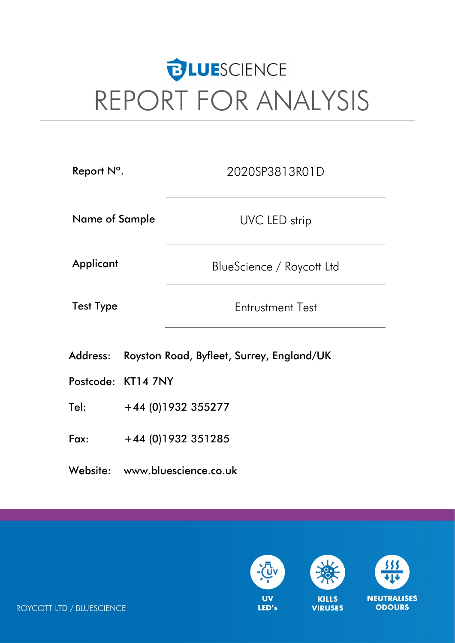# **BLUE**SCIENCE REPORT FOR ANALYSIS

| Report N°.            |                                                    | 2020SP3813R01D                 |  |  |  |  |
|-----------------------|----------------------------------------------------|--------------------------------|--|--|--|--|
| <b>Name of Sample</b> |                                                    | UVC LED strip                  |  |  |  |  |
| Applicant             |                                                    | BlueScience / Roycott Ltd      |  |  |  |  |
| <b>Test Type</b>      |                                                    | <b>Entrustment Test</b>        |  |  |  |  |
|                       | Address: Royston Road, Byfleet, Surrey, England/UK |                                |  |  |  |  |
|                       | Postcode: KT14 7NY                                 |                                |  |  |  |  |
| Tel:                  | +44 (0)1932 355277                                 |                                |  |  |  |  |
| Fax:                  |                                                    | +44 (0)1932 351285             |  |  |  |  |
|                       |                                                    | Website: www.bluescience.co.uk |  |  |  |  |





**KILLS** 

**VIRUSES** 



**NEUTRALISES ODOURS** 

### ROYCOTT LTD / BLUESCIENCE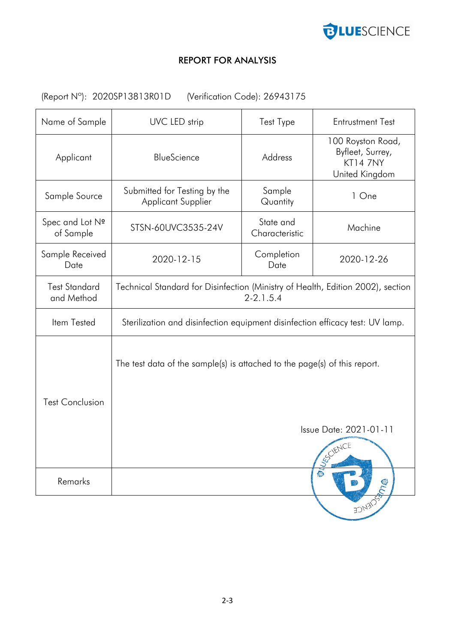

## REPORT FOR ANALYSIS

(Report Nº): 2020SP13813R01D (Verification Code): 26943175

| Name of Sample                     | UVC LED strip                                                                                                  | <b>Test Type</b>            | <b>Entrustment Test</b>                                                    |  |  |  |  |
|------------------------------------|----------------------------------------------------------------------------------------------------------------|-----------------------------|----------------------------------------------------------------------------|--|--|--|--|
| Applicant                          | BlueScience                                                                                                    | Address                     | 100 Royston Road,<br>Byfleet, Surrey,<br><b>KT14 7NY</b><br>United Kingdom |  |  |  |  |
| Sample Source                      | Submitted for Testing by the<br><b>Applicant Supplier</b>                                                      | Sample<br>Quantity          | 1 One                                                                      |  |  |  |  |
| Spec and Lot Nº<br>of Sample       | STSN-60UVC3535-24V                                                                                             | State and<br>Characteristic | Machine                                                                    |  |  |  |  |
| Sample Received<br>Date            | 2020-12-15                                                                                                     | Completion<br>Date          | 2020-12-26                                                                 |  |  |  |  |
| <b>Test Standard</b><br>and Method | Technical Standard for Disinfection (Ministry of Health, Edition 2002), section<br>$2 - 2.1.5.4$               |                             |                                                                            |  |  |  |  |
| Item Tested                        | Sterilization and disinfection equipment disinfection efficacy test: UV lamp.                                  |                             |                                                                            |  |  |  |  |
| <b>Test Conclusion</b>             | The test data of the sample(s) is attached to the page(s) of this report.<br>Issue Date: 2021-01-11<br>SCIENCE |                             |                                                                            |  |  |  |  |
| Remarks                            | đ                                                                                                              |                             |                                                                            |  |  |  |  |
|                                    |                                                                                                                |                             | <b>HONEIOS</b>                                                             |  |  |  |  |